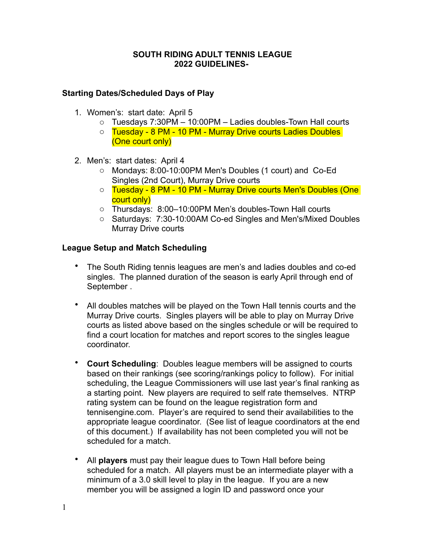### **SOUTH RIDING ADULT TENNIS LEAGUE 2022 GUIDELINES-**

# **Starting Dates/Scheduled Days of Play**

- 1. Women's: start date: April 5
	- $\circ$  Tuesdays 7:30PM 10:00PM Ladies doubles-Town Hall courts
	- o Tuesday 8 PM 10 PM Murray Drive courts Ladies Doubles (One court only)
- 2. Men's: start dates: April 4
	- o Mondays: 8:00-10:00PM Men's Doubles (1 court) and Co-Ed Singles (2nd Court), Murray Drive courts
	- o Tuesday 8 PM 10 PM Murray Drive courts Men's Doubles (One court only)
	- o Thursdays: 8:00–10:00PM Men's doubles-Town Hall courts
	- o Saturdays: 7:30-10:00AM Co-ed Singles and Men's/Mixed Doubles Murray Drive courts

### **League Setup and Match Scheduling**

- The South Riding tennis leagues are men's and ladies doubles and co-ed singles. The planned duration of the season is early April through end of September .
- All doubles matches will be played on the Town Hall tennis courts and the Murray Drive courts. Singles players will be able to play on Murray Drive courts as listed above based on the singles schedule or will be required to find a court location for matches and report scores to the singles league coordinator.
- **Court Scheduling**: Doubles league members will be assigned to courts based on their rankings (see scoring/rankings policy to follow). For initial scheduling, the League Commissioners will use last year's final ranking as a starting point. New players are required to self rate themselves. NTRP rating system can be found on the league registration form and tennisengine.com. Player's are required to send their availabilities to the appropriate league coordinator. (See list of league coordinators at the end of this document.) If availability has not been completed you will not be scheduled for a match.
- All **players** must pay their league dues to Town Hall before being scheduled for a match. All players must be an intermediate player with a minimum of a 3.0 skill level to play in the league. If you are a new member you will be assigned a login ID and password once your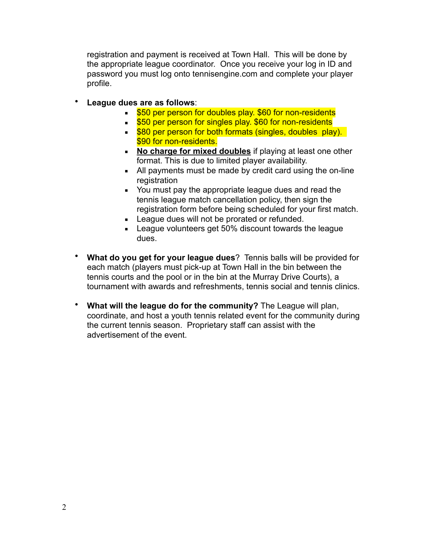registration and payment is received at Town Hall. This will be done by the appropriate league coordinator. Once you receive your log in ID and password you must log onto tennisengine.com and complete your player profile.

- **League dues are as follows**:
	- **EX4** 550 per person for doubles play. \$60 for non-residents
	- **EX4** 550 per person for singles play. \$60 for non-residents
	- **EXECUTE:** \$80 per person for both formats (singles, doubles play). \$90 for non-residents.
	- **EXECT** No charge for mixed doubles if playing at least one other format. This is due to limited player availability.
	- All payments must be made by credit card using the on-line registration
	- You must pay the appropriate league dues and read the tennis league match cancellation policy, then sign the registration form before being scheduled for your first match.
	- **EXECUTE:** League dues will not be prorated or refunded.
	- League volunteers get 50% discount towards the league dues.
- **What do you get for your league dues**? Tennis balls will be provided for each match (players must pick-up at Town Hall in the bin between the tennis courts and the pool or in the bin at the Murray Drive Courts), a tournament with awards and refreshments, tennis social and tennis clinics.
- **What will the league do for the community?** The League will plan, coordinate, and host a youth tennis related event for the community during the current tennis season. Proprietary staff can assist with the advertisement of the event.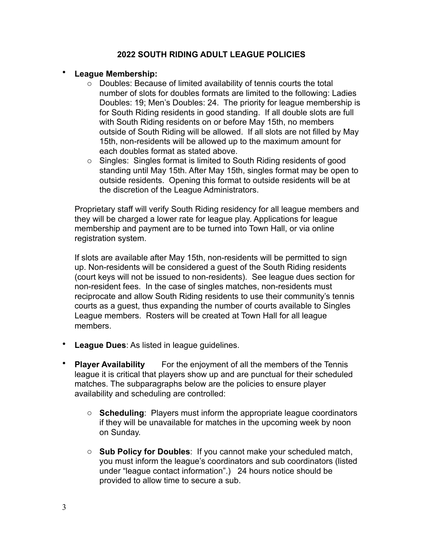## **2022 SOUTH RIDING ADULT LEAGUE POLICIES**

### • **League Membership:**

- o Doubles: Because of limited availability of tennis courts the total number of slots for doubles formats are limited to the following: Ladies Doubles: 19; Men's Doubles: 24. The priority for league membership is for South Riding residents in good standing. If all double slots are full with South Riding residents on or before May 15th, no members outside of South Riding will be allowed. If all slots are not filled by May 15th, non-residents will be allowed up to the maximum amount for each doubles format as stated above.
- o Singles: Singles format is limited to South Riding residents of good standing until May 15th. After May 15th, singles format may be open to outside residents. Opening this format to outside residents will be at the discretion of the League Administrators.

Proprietary staff will verify South Riding residency for all league members and they will be charged a lower rate for league play. Applications for league membership and payment are to be turned into Town Hall, or via online registration system.

If slots are available after May 15th, non-residents will be permitted to sign up. Non-residents will be considered a guest of the South Riding residents (court keys will not be issued to non-residents). See league dues section for non-resident fees. In the case of singles matches, non-residents must reciprocate and allow South Riding residents to use their community's tennis courts as a guest, thus expanding the number of courts available to Singles League members. Rosters will be created at Town Hall for all league members.

- **League Dues**: As listed in league guidelines.
- **Player Availability** For the enjoyment of all the members of the Tennis league it is critical that players show up and are punctual for their scheduled matches. The subparagraphs below are the policies to ensure player availability and scheduling are controlled:
	- o **Scheduling**: Players must inform the appropriate league coordinators if they will be unavailable for matches in the upcoming week by noon on Sunday.
	- o **Sub Policy for Doubles**: If you cannot make your scheduled match, you must inform the league's coordinators and sub coordinators (listed under "league contact information".) 24 hours notice should be provided to allow time to secure a sub.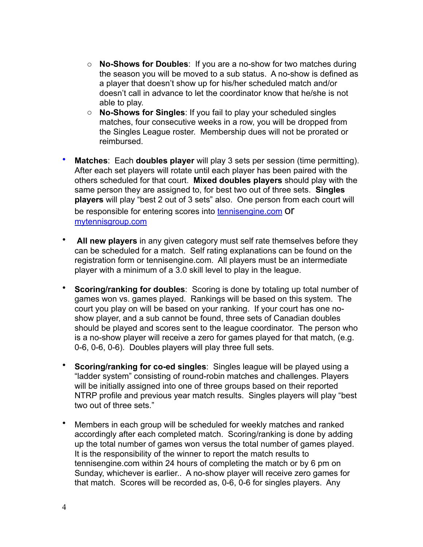- o **No-Shows for Doubles**: If you are a no-show for two matches during the season you will be moved to a sub status. A no-show is defined as a player that doesn't show up for his/her scheduled match and/or doesn't call in advance to let the coordinator know that he/she is not able to play.
- o **No-Shows for Singles**: If you fail to play your scheduled singles matches, four consecutive weeks in a row, you will be dropped from the Singles League roster. Membership dues will not be prorated or reimbursed.
- **Matches**: Each **doubles player** will play 3 sets per session (time permitting). After each set players will rotate until each player has been paired with the others scheduled for that court. **Mixed doubles players** should play with the same person they are assigned to, for best two out of three sets. **Singles players** will play "best 2 out of 3 sets" also. One person from each court will be responsible for entering scores into tennisengine.com Of mytennisgroup.com
- **All new players** in any given category must self rate themselves before they can be scheduled for a match. Self rating explanations can be found on the registration form or tennisengine.com. All players must be an intermediate player with a minimum of a 3.0 skill level to play in the league.
- **Scoring/ranking for doubles**: Scoring is done by totaling up total number of games won vs. games played. Rankings will be based on this system. The court you play on will be based on your ranking. If your court has one noshow player, and a sub cannot be found, three sets of Canadian doubles should be played and scores sent to the league coordinator. The person who is a no-show player will receive a zero for games played for that match, (e.g. 0-6, 0-6, 0-6). Doubles players will play three full sets.
- **Scoring/ranking for co-ed singles**: Singles league will be played using a "ladder system" consisting of round-robin matches and challenges. Players will be initially assigned into one of three groups based on their reported NTRP profile and previous year match results. Singles players will play "best two out of three sets."
- Members in each group will be scheduled for weekly matches and ranked accordingly after each completed match. Scoring/ranking is done by adding up the total number of games won versus the total number of games played. It is the responsibility of the winner to report the match results to tennisengine.com within 24 hours of completing the match or by 6 pm on Sunday, whichever is earlier.. A no-show player will receive zero games for that match. Scores will be recorded as, 0-6, 0-6 for singles players. Any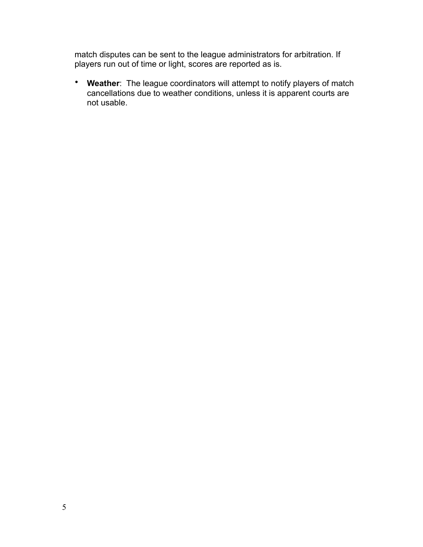match disputes can be sent to the league administrators for arbitration. If players run out of time or light, scores are reported as is.

• **Weather**: The league coordinators will attempt to notify players of match cancellations due to weather conditions, unless it is apparent courts are not usable.